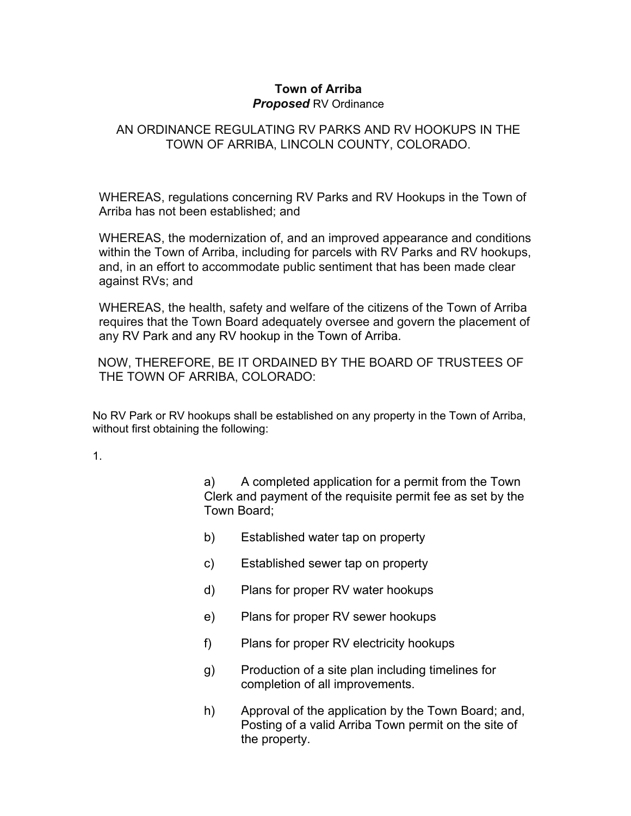## **Town of Arriba** *Proposed RV Ordinance*

# AN ORDINANCE REGULATING RV PARKS AND RV HOOKUPS IN THE TOWN OF ARRIBA, LINCOLN COUNTY, COLORADO.

WHEREAS, regulations concerning RV Parks and RV Hookups in the Town of Arriba has not been established; and

WHEREAS, the modernization of, and an improved appearance and conditions within the Town of Arriba, including for parcels with RV Parks and RV hookups, and, in an effort to accommodate public sentiment that has been made clear against RVs; and

WHEREAS, the health, safety and welfare of the citizens of the Town of Arriba requires that the Town Board adequately oversee and govern the placement of any RV Park and any RV hookup in the Town of Arriba.

NOW, THEREFORE, BE IT ORDAINED BY THE BOARD OF TRUSTEES OF THE TOWN OF ARRIBA, COLORADO:

No RV Park or RV hookups shall be established on any property in the Town of Arriba, without first obtaining the following:

1.

a) A completed application for a permit from the Town Clerk and payment of the requisite permit fee as set by the Town Board;

- b) Established water tap on property
- c) Established sewer tap on property
- d) Plans for proper RV water hookups
- e) Plans for proper RV sewer hookups
- f) Plans for proper RV electricity hookups
- g) Production of a site plan including timelines for completion of all improvements.
- h) Approval of the application by the Town Board; and, Posting of a valid Arriba Town permit on the site of the property.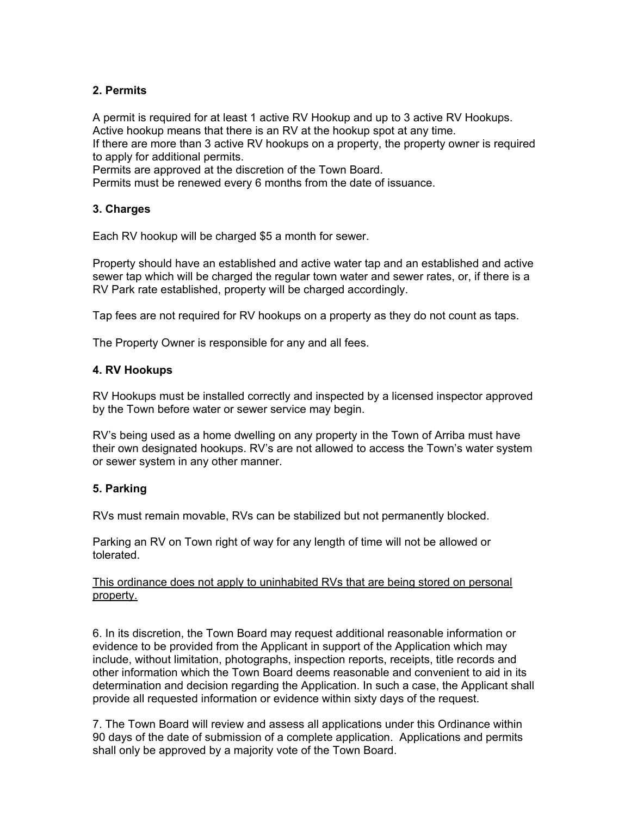## **2. Permits**

A permit is required for at least 1 active RV Hookup and up to 3 active RV Hookups. Active hookup means that there is an RV at the hookup spot at any time. If there are more than 3 active RV hookups on a property, the property owner is required to apply for additional permits.

Permits are approved at the discretion of the Town Board.

Permits must be renewed every 6 months from the date of issuance.

### **3. Charges**

Each RV hookup will be charged \$5 a month for sewer.

Property should have an established and active water tap and an established and active sewer tap which will be charged the regular town water and sewer rates, or, if there is a RV Park rate established, property will be charged accordingly.

Tap fees are not required for RV hookups on a property as they do not count as taps.

The Property Owner is responsible for any and all fees.

### **4. RV Hookups**

RV Hookups must be installed correctly and inspected by a licensed inspector approved by the Town before water or sewer service may begin.

RV's being used as a home dwelling on any property in the Town of Arriba must have their own designated hookups. RV's are not allowed to access the Town's water system or sewer system in any other manner.

## **5. Parking**

RVs must remain movable, RVs can be stabilized but not permanently blocked.

Parking an RV on Town right of way for any length of time will not be allowed or tolerated.

### This ordinance does not apply to uninhabited RVs that are being stored on personal property.

6. In its discretion, the Town Board may request additional reasonable information or evidence to be provided from the Applicant in support of the Application which may include, without limitation, photographs, inspection reports, receipts, title records and other information which the Town Board deems reasonable and convenient to aid in its determination and decision regarding the Application. In such a case, the Applicant shall provide all requested information or evidence within sixty days of the request.

7. The Town Board will review and assess all applications under this Ordinance within 90 days of the date of submission of a complete application. Applications and permits shall only be approved by a majority vote of the Town Board.